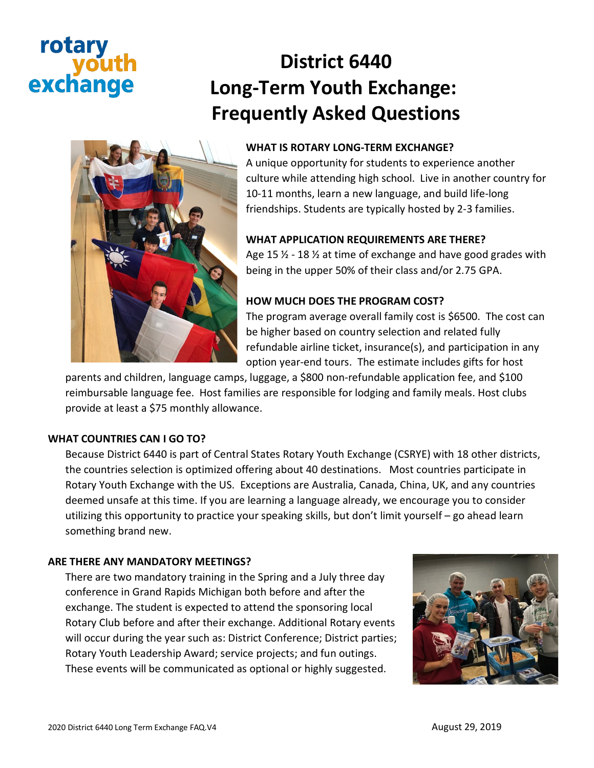# rotary exchange

# **District 6440 Long-Term Youth Exchange: Frequently Asked Questions**



# **WHAT IS ROTARY LONG-TERM EXCHANGE?**

A unique opportunity for students to experience another culture while attending high school. Live in another country for 10-11 months, learn a new language, and build life-long friendships. Students are typically hosted by 2-3 families.

# **WHAT APPLICATION REQUIREMENTS ARE THERE?**

Age 15  $\frac{1}{2}$  - 18  $\frac{1}{2}$  at time of exchange and have good grades with being in the upper 50% of their class and/or 2.75 GPA.

# **HOW MUCH DOES THE PROGRAM COST?**

The program average overall family cost is \$6500. The cost can be higher based on country selection and related fully refundable airline ticket, insurance(s), and participation in any option year-end tours. The estimate includes gifts for host

parents and children, language camps, luggage, a \$800 non-refundable application fee, and \$100 reimbursable language fee. Host families are responsible for lodging and family meals. Host clubs provide at least a \$75 monthly allowance.

# **WHAT COUNTRIES CAN I GO TO?**

Because District 6440 is part of Central States Rotary Youth Exchange (CSRYE) with 18 other districts, the countries selection is optimized offering about 40 destinations. Most countries participate in Rotary Youth Exchange with the US. Exceptions are Australia, Canada, China, UK, and any countries deemed unsafe at this time. If you are learning a language already, we encourage you to consider utilizing this opportunity to practice your speaking skills, but don't limit yourself – go ahead learn something brand new.

#### **ARE THERE ANY MANDATORY MEETINGS?**

There are two mandatory training in the Spring and a July three day conference in Grand Rapids Michigan both before and after the exchange. The student is expected to attend the sponsoring local Rotary Club before and after their exchange. Additional Rotary events will occur during the year such as: District Conference; District parties; Rotary Youth Leadership Award; service projects; and fun outings. These events will be communicated as optional or highly suggested.